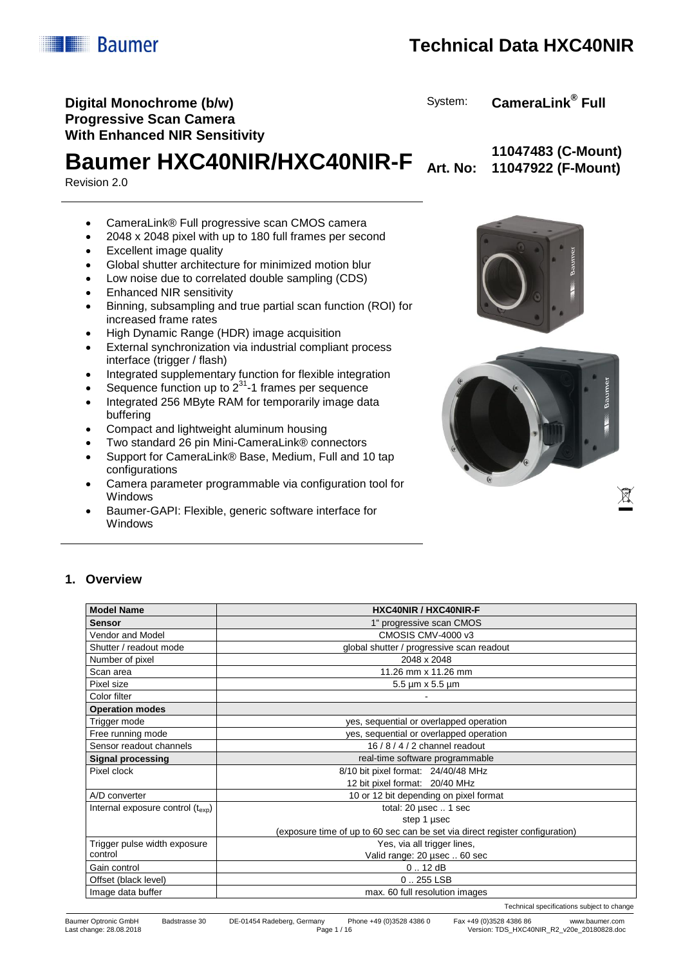

Technical specifications subject to change

Last change: 28.08.2018 Page 1 / 16 Version: TDS\_HXC40NIR\_R2\_v20e\_20180828.doc

# **Technical Data HXC40NIR**

## **Digital Monochrome (b/w) Progressive Scan Camera With Enhanced NIR Sensitivity**

**Baumer HXC40NIR/HXC40NIR-F Art. No:** 

Revision 2.0

**ILLE Baumer** 

- CameraLink® Full progressive scan CMOS camera
- 2048 x 2048 pixel with up to 180 full frames per second
- Excellent image quality
- Global shutter architecture for minimized motion blur
- Low noise due to correlated double sampling (CDS)
- Enhanced NIR sensitivity
- Binning, subsampling and true partial scan function (ROI) for increased frame rates
- High Dynamic Range (HDR) image acquisition
- External synchronization via industrial compliant process interface (trigger / flash)
- Integrated supplementary function for flexible integration
- Sequence function up to  $2^{31}$ -1 frames per sequence
- Integrated 256 MByte RAM for temporarily image data buffering
- Compact and lightweight aluminum housing
- Two standard 26 pin Mini-CameraLink® connectors
- Support for CameraLink® Base, Medium, Full and 10 tap configurations
- Camera parameter programmable via configuration tool for Windows
- Baumer-GAPI: Flexible, generic software interface for Windows





# **1. Overview**

| <b>Model Name</b>                         | <b>HXC40NIR / HXC40NIR-F</b>                                                 |  |  |  |  |
|-------------------------------------------|------------------------------------------------------------------------------|--|--|--|--|
| <b>Sensor</b>                             | 1" progressive scan CMOS                                                     |  |  |  |  |
| Vendor and Model                          | CMOSIS CMV-4000 v3                                                           |  |  |  |  |
| Shutter / readout mode                    | global shutter / progressive scan readout                                    |  |  |  |  |
| Number of pixel                           | 2048 x 2048                                                                  |  |  |  |  |
| Scan area                                 | 11.26 mm x 11.26 mm                                                          |  |  |  |  |
| Pixel size                                | $5.5 \mu m \times 5.5 \mu m$                                                 |  |  |  |  |
| Color filter                              |                                                                              |  |  |  |  |
| <b>Operation modes</b>                    |                                                                              |  |  |  |  |
| Trigger mode                              | yes, sequential or overlapped operation                                      |  |  |  |  |
| Free running mode                         | yes, sequential or overlapped operation                                      |  |  |  |  |
| Sensor readout channels                   | 16 / 8 / 4 / 2 channel readout                                               |  |  |  |  |
| <b>Signal processing</b>                  | real-time software programmable                                              |  |  |  |  |
| Pixel clock                               | 8/10 bit pixel format: 24/40/48 MHz                                          |  |  |  |  |
|                                           | 12 bit pixel format: 20/40 MHz                                               |  |  |  |  |
| A/D converter                             | 10 or 12 bit depending on pixel format                                       |  |  |  |  |
| Internal exposure control $(t_{\rm exp})$ | total: 20 µsec  1 sec                                                        |  |  |  |  |
|                                           | step 1 µsec                                                                  |  |  |  |  |
|                                           | (exposure time of up to 60 sec can be set via direct register configuration) |  |  |  |  |
| Trigger pulse width exposure              | Yes, via all trigger lines,                                                  |  |  |  |  |
| control                                   | Valid range: 20 µsec  60 sec                                                 |  |  |  |  |
| Gain control                              | 0.12 dB                                                                      |  |  |  |  |
| Offset (black level)                      | $0.255$ LSB                                                                  |  |  |  |  |
| Image data buffer                         | max. 60 full resolution images                                               |  |  |  |  |



System: **CameraLink® Full**

**11047483 (C-Mount) 11047922 (F-Mount)**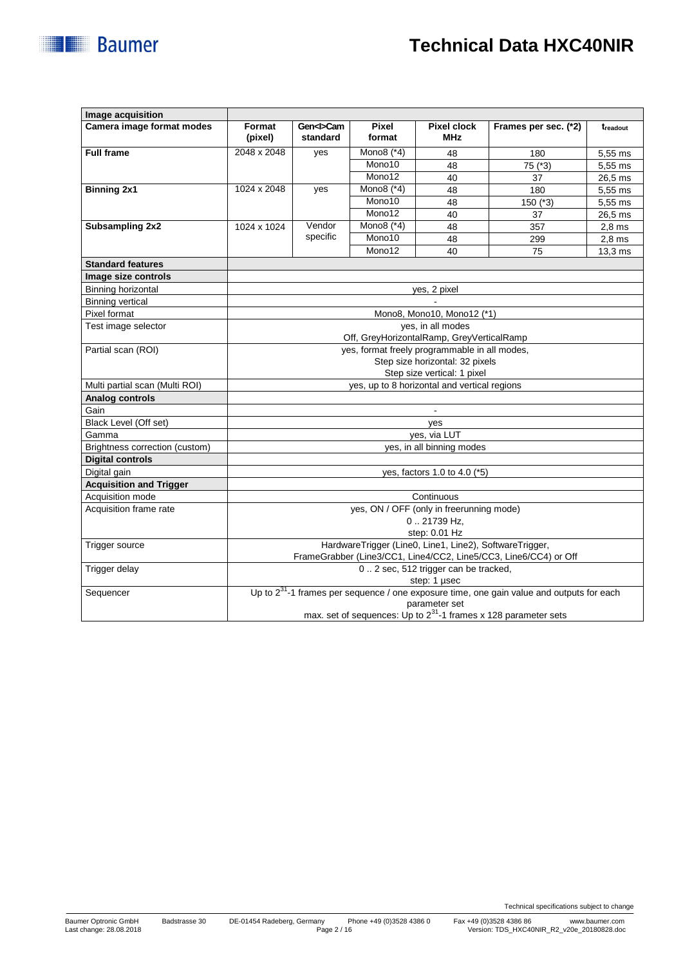# **Technical Data HXC40NIR**

|  |  | <b>Baumer</b> |  |
|--|--|---------------|--|
|  |  |               |  |

| Image acquisition              |                                                                      |                |              |                                       |                                                                                                |                      |
|--------------------------------|----------------------------------------------------------------------|----------------|--------------|---------------------------------------|------------------------------------------------------------------------------------------------|----------------------|
| Camera image format modes      | Format                                                               | Gen <i>Cam</i> | Pixel        | <b>Pixel clock</b>                    | Frames per sec. (*2)                                                                           | t <sub>readout</sub> |
|                                | (pixel)                                                              | standard       | format       | <b>MHz</b>                            |                                                                                                |                      |
| <b>Full frame</b>              | 2048 x 2048                                                          | yes            | Mono8 $(*4)$ | 48                                    | 180                                                                                            | 5,55 ms              |
|                                |                                                                      |                | Mono10       | 48                                    | 75 (*3)                                                                                        | 5,55 ms              |
|                                |                                                                      |                | Mono12       | 40                                    | 37                                                                                             | 26,5 ms              |
| <b>Binning 2x1</b>             | 1024 x 2048                                                          | yes            | Mono8 (*4)   | 48                                    | 180                                                                                            | 5,55 ms              |
|                                |                                                                      |                | Mono10       | 48                                    | $150$ (*3)                                                                                     | 5,55 ms              |
|                                |                                                                      |                | Mono12       | 40                                    | 37                                                                                             | 26,5 ms              |
| <b>Subsampling 2x2</b>         | 1024 x 1024                                                          | Vendor         | Mono8 $(*4)$ | 48                                    | 357                                                                                            | $2,8$ ms             |
|                                |                                                                      | specific       | Mono10       | 48                                    | 299                                                                                            | $2,8$ ms             |
|                                |                                                                      |                | Mono12       | 40                                    | 75                                                                                             | $13.3 \text{ ms}$    |
| <b>Standard features</b>       |                                                                      |                |              |                                       |                                                                                                |                      |
| Image size controls            |                                                                      |                |              |                                       |                                                                                                |                      |
| <b>Binning horizontal</b>      |                                                                      |                |              | yes, 2 pixel                          |                                                                                                |                      |
| <b>Binning vertical</b>        |                                                                      |                |              |                                       |                                                                                                |                      |
| Pixel format                   |                                                                      |                |              | Mono8, Mono10, Mono12 (*1)            |                                                                                                |                      |
| Test image selector            | yes, in all modes                                                    |                |              |                                       |                                                                                                |                      |
|                                | Off, GreyHorizontalRamp, GreyVerticalRamp                            |                |              |                                       |                                                                                                |                      |
| Partial scan (ROI)             | yes, format freely programmable in all modes,                        |                |              |                                       |                                                                                                |                      |
|                                | Step size horizontal: 32 pixels                                      |                |              |                                       |                                                                                                |                      |
|                                | Step size vertical: 1 pixel                                          |                |              |                                       |                                                                                                |                      |
| Multi partial scan (Multi ROI) | yes, up to 8 horizontal and vertical regions                         |                |              |                                       |                                                                                                |                      |
| <b>Analog controls</b>         |                                                                      |                |              |                                       |                                                                                                |                      |
| Gain                           |                                                                      |                |              |                                       |                                                                                                |                      |
| Black Level (Off set)          | yes                                                                  |                |              |                                       |                                                                                                |                      |
| Gamma                          | ves. via LUT                                                         |                |              |                                       |                                                                                                |                      |
| Brightness correction (custom) | yes, in all binning modes                                            |                |              |                                       |                                                                                                |                      |
| <b>Digital controls</b>        |                                                                      |                |              |                                       |                                                                                                |                      |
| Digital gain                   | yes, factors 1.0 to 4.0 (*5)                                         |                |              |                                       |                                                                                                |                      |
| <b>Acquisition and Trigger</b> |                                                                      |                |              |                                       |                                                                                                |                      |
| Acquisition mode               | Continuous                                                           |                |              |                                       |                                                                                                |                      |
| Acquisition frame rate         | yes, ON / OFF (only in freerunning mode)                             |                |              |                                       |                                                                                                |                      |
|                                | 021739 Hz.                                                           |                |              |                                       |                                                                                                |                      |
|                                | step: 0.01 Hz                                                        |                |              |                                       |                                                                                                |                      |
| Trigger source                 | HardwareTrigger (Line0, Line1, Line2), SoftwareTrigger,              |                |              |                                       |                                                                                                |                      |
|                                |                                                                      |                |              |                                       | FrameGrabber (Line3/CC1, Line4/CC2, Line5/CC3, Line6/CC4) or Off                               |                      |
| Trigger delay                  |                                                                      |                |              | 0. 2 sec, 512 trigger can be tracked, |                                                                                                |                      |
|                                |                                                                      |                |              | step: 1 µsec                          |                                                                                                |                      |
| Sequencer                      |                                                                      |                |              |                                       | Up to $2^{31}$ -1 frames per sequence / one exposure time, one gain value and outputs for each |                      |
|                                |                                                                      |                |              | parameter set                         |                                                                                                |                      |
|                                | max. set of sequences: Up to $2^{31}$ -1 frames x 128 parameter sets |                |              |                                       |                                                                                                |                      |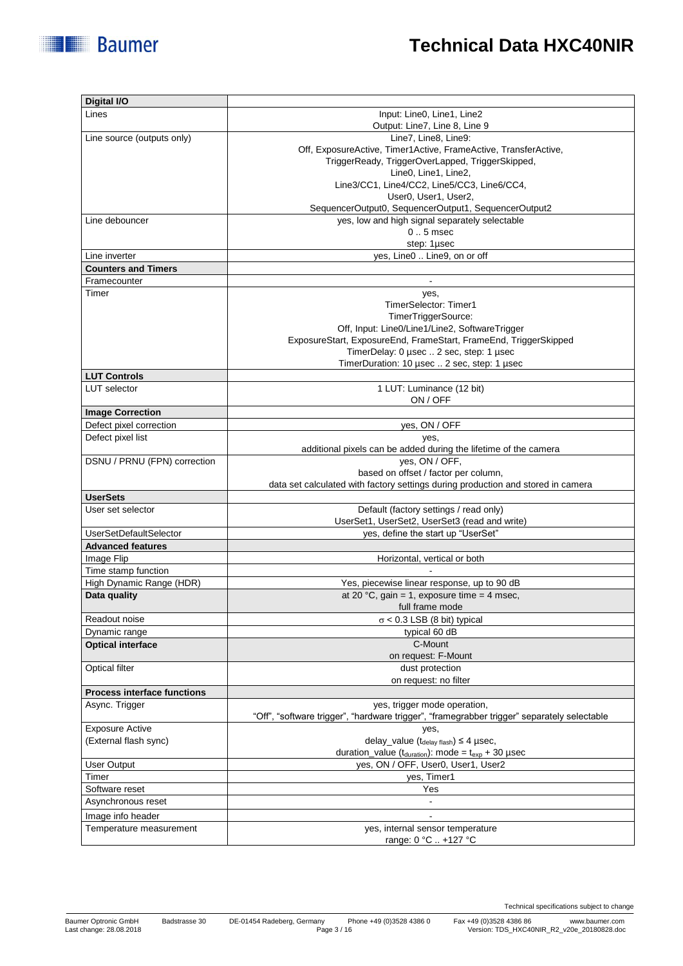| Digital I/O                        |                                                                                             |
|------------------------------------|---------------------------------------------------------------------------------------------|
| Lines                              | Input: Line0, Line1, Line2                                                                  |
|                                    | Output: Line7, Line 8, Line 9                                                               |
| Line source (outputs only)         | Line7, Line8, Line9:                                                                        |
|                                    | Off, ExposureActive, Timer1Active, FrameActive, TransferActive,                             |
|                                    | TriggerReady, TriggerOverLapped, TriggerSkipped,                                            |
|                                    | Line0, Line1, Line2,                                                                        |
|                                    | Line3/CC1, Line4/CC2, Line5/CC3, Line6/CC4,                                                 |
|                                    | User0, User1, User2,                                                                        |
|                                    | SequencerOutput0, SequencerOutput1, SequencerOutput2                                        |
| Line debouncer                     | yes, low and high signal separately selectable                                              |
|                                    | $01$ . 5 msec                                                                               |
|                                    | step: 1µsec                                                                                 |
| Line inverter                      | yes, Line0  Line9, on or off                                                                |
| <b>Counters and Timers</b>         |                                                                                             |
| Framecounter                       |                                                                                             |
| Timer                              | yes,                                                                                        |
|                                    | TimerSelector: Timer1                                                                       |
|                                    | TimerTriggerSource:                                                                         |
|                                    | Off, Input: Line0/Line1/Line2, SoftwareTrigger                                              |
|                                    | ExposureStart, ExposureEnd, FrameStart, FrameEnd, TriggerSkipped                            |
|                                    | TimerDelay: 0 µsec  2 sec, step: 1 µsec                                                     |
|                                    | TimerDuration: 10 µsec  2 sec, step: 1 µsec                                                 |
| <b>LUT Controls</b>                |                                                                                             |
| <b>LUT</b> selector                | 1 LUT: Luminance (12 bit)                                                                   |
|                                    | ON / OFF                                                                                    |
| <b>Image Correction</b>            |                                                                                             |
| Defect pixel correction            | yes, ON / OFF                                                                               |
| Defect pixel list                  | yes,                                                                                        |
|                                    | additional pixels can be added during the lifetime of the camera                            |
| DSNU / PRNU (FPN) correction       | yes, ON / OFF,                                                                              |
|                                    | based on offset / factor per column,                                                        |
|                                    | data set calculated with factory settings during production and stored in camera            |
| <b>UserSets</b>                    |                                                                                             |
| User set selector                  | Default (factory settings / read only)                                                      |
|                                    | UserSet1, UserSet2, UserSet3 (read and write)                                               |
| <b>UserSetDefaultSelector</b>      | yes, define the start up "UserSet"                                                          |
| <b>Advanced features</b>           |                                                                                             |
| Image Flip                         | Horizontal, vertical or both                                                                |
| Time stamp function                |                                                                                             |
| High Dynamic Range (HDR)           | Yes, piecewise linear response, up to 90 dB                                                 |
| Data quality                       | at 20 °C, gain = 1, exposure time = 4 msec,                                                 |
|                                    | full frame mode                                                                             |
| Readout noise                      | $\sigma$ < 0.3 LSB (8 bit) typical                                                          |
| Dynamic range                      | typical 60 dB                                                                               |
| <b>Optical interface</b>           | C-Mount                                                                                     |
|                                    | on request: F-Mount                                                                         |
| <b>Optical filter</b>              | dust protection                                                                             |
|                                    | on request: no filter                                                                       |
| <b>Process interface functions</b> |                                                                                             |
| Async. Trigger                     | yes, trigger mode operation,                                                                |
|                                    | "Off", "software trigger", "hardware trigger", "framegrabber trigger" separately selectable |
| <b>Exposure Active</b>             | yes,                                                                                        |
| (External flash sync)              | delay_value $(t_{\text{delay flash}}) \leq 4$ µsec,                                         |
|                                    | duration_value ( $t_{\text{duration}}$ ): mode = $t_{\text{exp}}$ + 30 µsec                 |
| User Output                        | yes, ON / OFF, User0, User1, User2                                                          |
| Timer                              | yes, Timer1                                                                                 |
| Software reset                     | Yes                                                                                         |
| Asynchronous reset                 | $\frac{1}{2}$                                                                               |
| Image info header                  |                                                                                             |
| Temperature measurement            | yes, internal sensor temperature                                                            |
|                                    | range: 0 °C  +127 °C                                                                        |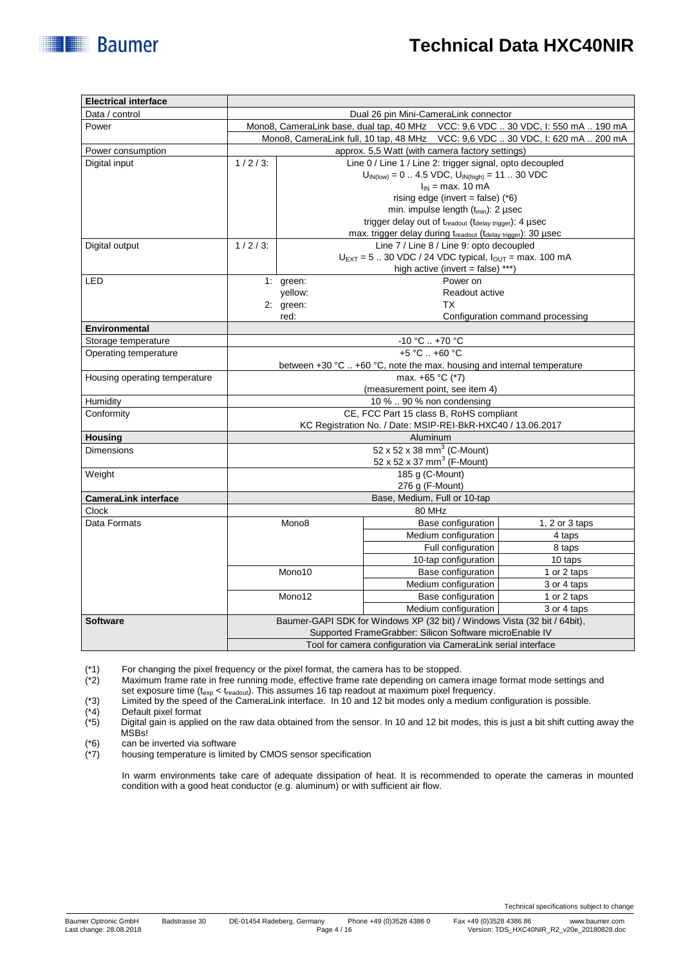┓

| Electrical interface          |                                                                                                                          |                                                                                                                                                  |                                                                                        |                                          |                                                                                   |  |  |
|-------------------------------|--------------------------------------------------------------------------------------------------------------------------|--------------------------------------------------------------------------------------------------------------------------------------------------|----------------------------------------------------------------------------------------|------------------------------------------|-----------------------------------------------------------------------------------|--|--|
| Data / control                | Dual 26 pin Mini-CameraLink connector                                                                                    |                                                                                                                                                  |                                                                                        |                                          |                                                                                   |  |  |
| Power                         | Mono8, CameraLink base, dual tap, 40 MHz    VCC: 9,6 VDC  30 VDC, l: 550 mA  190 mA                                      |                                                                                                                                                  |                                                                                        |                                          |                                                                                   |  |  |
|                               |                                                                                                                          |                                                                                                                                                  |                                                                                        |                                          | Mono8, CameraLink full, 10 tap, 48 MHz    VCC: 9,6 VDC  30 VDC, I: 620 mA  200 mA |  |  |
| Power consumption             | approx. 5,5 Watt (with camera factory settings)                                                                          |                                                                                                                                                  |                                                                                        |                                          |                                                                                   |  |  |
| Digital input                 | $1/2/3$ :                                                                                                                |                                                                                                                                                  | Line 0 / Line 1 / Line 2: trigger signal, opto decoupled                               |                                          |                                                                                   |  |  |
|                               |                                                                                                                          |                                                                                                                                                  | $U_{IN(low)} = 0$ 4.5 VDC, $U_{IN(high)} = 11$ 30 VDC                                  |                                          |                                                                                   |  |  |
|                               |                                                                                                                          | $I_{IN}$ = max. 10 mA                                                                                                                            |                                                                                        |                                          |                                                                                   |  |  |
|                               |                                                                                                                          | rising edge (invert = false) $(*6)$<br>min. impulse length (t <sub>min</sub> ): 2 usec<br>trigger delay out of treadout (tdelay trigger): 4 µsec |                                                                                        |                                          |                                                                                   |  |  |
|                               |                                                                                                                          |                                                                                                                                                  |                                                                                        |                                          |                                                                                   |  |  |
|                               |                                                                                                                          |                                                                                                                                                  |                                                                                        |                                          |                                                                                   |  |  |
|                               |                                                                                                                          |                                                                                                                                                  | max. trigger delay during $t_{\text{readout}}$ ( $t_{\text{delay triager}}$ ). 30 µsec |                                          |                                                                                   |  |  |
| Digital output                | $1/2/3$ :                                                                                                                |                                                                                                                                                  |                                                                                        | Line 7 / Line 8 / Line 9: opto decoupled |                                                                                   |  |  |
|                               |                                                                                                                          | $U_{\text{EXT}} = 5$ 30 VDC / 24 VDC typical, $I_{\text{OUT}} = \text{max. } 100 \text{ mA}$<br>high active (invert = false) ***)                |                                                                                        |                                          |                                                                                   |  |  |
|                               |                                                                                                                          |                                                                                                                                                  |                                                                                        |                                          |                                                                                   |  |  |
| LED                           |                                                                                                                          | 1: green:                                                                                                                                        |                                                                                        | Power on                                 |                                                                                   |  |  |
|                               |                                                                                                                          | yellow:                                                                                                                                          | Readout active                                                                         |                                          |                                                                                   |  |  |
|                               |                                                                                                                          | 2: green:                                                                                                                                        |                                                                                        | <b>TX</b>                                |                                                                                   |  |  |
|                               |                                                                                                                          | red:                                                                                                                                             |                                                                                        |                                          | Configuration command processing                                                  |  |  |
| <b>Environmental</b>          |                                                                                                                          |                                                                                                                                                  |                                                                                        |                                          |                                                                                   |  |  |
| Storage temperature           |                                                                                                                          |                                                                                                                                                  | $-10 °C$ $+70 °C$                                                                      |                                          |                                                                                   |  |  |
| Operating temperature         | +5 °C  +60 °C                                                                                                            |                                                                                                                                                  |                                                                                        |                                          |                                                                                   |  |  |
|                               | between +30 °C  +60 °C, note the max. housing and internal temperature                                                   |                                                                                                                                                  |                                                                                        |                                          |                                                                                   |  |  |
| Housing operating temperature | max. +65 °C (*7)                                                                                                         |                                                                                                                                                  |                                                                                        |                                          |                                                                                   |  |  |
|                               | (measurement point, see item 4)                                                                                          |                                                                                                                                                  |                                                                                        |                                          |                                                                                   |  |  |
| Humidity                      | 10 %  90 % non condensing                                                                                                |                                                                                                                                                  |                                                                                        |                                          |                                                                                   |  |  |
| Conformity                    | CE, FCC Part 15 class B, RoHS compliant                                                                                  |                                                                                                                                                  |                                                                                        |                                          |                                                                                   |  |  |
|                               | KC Registration No. / Date: MSIP-REI-BkR-HXC40 / 13.06.2017                                                              |                                                                                                                                                  |                                                                                        |                                          |                                                                                   |  |  |
| <b>Housing</b>                | Aluminum                                                                                                                 |                                                                                                                                                  |                                                                                        |                                          |                                                                                   |  |  |
| <b>Dimensions</b>             | 52 x 52 x 38 mm <sup>3</sup> (C-Mount)                                                                                   |                                                                                                                                                  |                                                                                        |                                          |                                                                                   |  |  |
|                               |                                                                                                                          |                                                                                                                                                  | 52 x 52 x 37 mm <sup>3</sup> (F-Mount)                                                 |                                          |                                                                                   |  |  |
| Weight                        |                                                                                                                          |                                                                                                                                                  | 185 g (C-Mount)                                                                        |                                          |                                                                                   |  |  |
|                               | 276 g (F-Mount)                                                                                                          |                                                                                                                                                  |                                                                                        |                                          |                                                                                   |  |  |
| <b>CameraLink interface</b>   |                                                                                                                          |                                                                                                                                                  | Base, Medium, Full or 10-tap                                                           |                                          |                                                                                   |  |  |
| <b>Clock</b>                  | 80 MHz                                                                                                                   |                                                                                                                                                  |                                                                                        |                                          |                                                                                   |  |  |
| Data Formats                  |                                                                                                                          | Mono8                                                                                                                                            |                                                                                        | Base configuration                       | 1, 2 or $3$ taps                                                                  |  |  |
|                               |                                                                                                                          |                                                                                                                                                  |                                                                                        | Medium configuration                     | 4 taps                                                                            |  |  |
|                               |                                                                                                                          |                                                                                                                                                  |                                                                                        | Full configuration                       | 8 taps                                                                            |  |  |
|                               |                                                                                                                          |                                                                                                                                                  |                                                                                        | 10-tap configuration                     | 10 taps                                                                           |  |  |
|                               |                                                                                                                          | Mono10                                                                                                                                           |                                                                                        | Base configuration                       | 1 or 2 taps                                                                       |  |  |
|                               |                                                                                                                          |                                                                                                                                                  |                                                                                        | Medium configuration                     | 3 or 4 taps                                                                       |  |  |
|                               |                                                                                                                          | Mono12                                                                                                                                           |                                                                                        | Base configuration                       | 1 or 2 taps                                                                       |  |  |
|                               |                                                                                                                          |                                                                                                                                                  |                                                                                        | Medium configuration                     | 3 or 4 taps                                                                       |  |  |
| <b>Software</b>               | Baumer-GAPI SDK for Windows XP (32 bit) / Windows Vista (32 bit / 64bit),                                                |                                                                                                                                                  |                                                                                        |                                          |                                                                                   |  |  |
|                               | Supported FrameGrabber: Silicon Software microEnable IV<br>Tool for camera configuration via CameraLink serial interface |                                                                                                                                                  |                                                                                        |                                          |                                                                                   |  |  |
|                               |                                                                                                                          |                                                                                                                                                  |                                                                                        |                                          |                                                                                   |  |  |

(\*1) For changing the pixel frequency or the pixel format, the camera has to be stopped.<br>(\*2) Maximum frame rate in free running mode, effective frame rate depending on cameral Maximum frame rate in free running mode, effective frame rate depending on camera image format mode settings and set exposure time ( $t_{exp} < t_{readout}$ ). This assumes 16 tap readout at maximum pixel frequency.

(\*3) Limited by the speed of the CameraLink interface. In 10 and 12 bit modes only a medium configuration is possible.

(\*4) Default pixel format<br>(\*5) Digital gain is applie Digital gain is applied on the raw data obtained from the sensor. In 10 and 12 bit modes, this is just a bit shift cutting away the MSBs!

 $(*6)$  can be inverted via software<br> $(*7)$  housing temperature is limite

**Electrical interface**

**Baumer** 

housing temperature is limited by CMOS sensor specification

In warm environments take care of adequate dissipation of heat. It is recommended to operate the cameras in mounted condition with a good heat conductor (e.g. aluminum) or with sufficient air flow.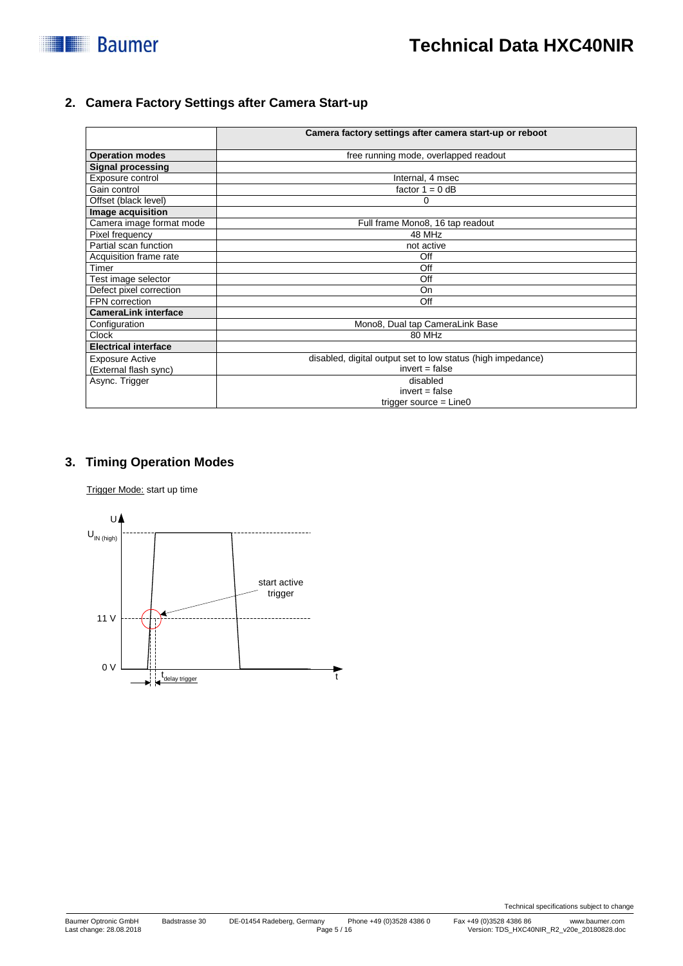

#### **2. Camera Factory Settings after Camera Start-up**

|                             | Camera factory settings after camera start-up or reboot     |  |  |  |
|-----------------------------|-------------------------------------------------------------|--|--|--|
| <b>Operation modes</b>      | free running mode, overlapped readout                       |  |  |  |
| <b>Signal processing</b>    |                                                             |  |  |  |
| Exposure control            | Internal, 4 msec                                            |  |  |  |
| Gain control                | factor $1 = 0$ dB                                           |  |  |  |
| Offset (black level)        | 0                                                           |  |  |  |
| Image acquisition           |                                                             |  |  |  |
| Camera image format mode    | Full frame Mono8, 16 tap readout                            |  |  |  |
| Pixel frequency             | 48 MHz                                                      |  |  |  |
| Partial scan function       | not active                                                  |  |  |  |
| Acquisition frame rate      | Off                                                         |  |  |  |
| Timer                       | Off                                                         |  |  |  |
| Test image selector         | Off                                                         |  |  |  |
| Defect pixel correction     | On                                                          |  |  |  |
| FPN correction              | Off                                                         |  |  |  |
| <b>CameraLink interface</b> |                                                             |  |  |  |
| Configuration               | Mono8, Dual tap CameraLink Base                             |  |  |  |
| <b>Clock</b>                | 80 MHz                                                      |  |  |  |
| <b>Electrical interface</b> |                                                             |  |  |  |
| <b>Exposure Active</b>      | disabled, digital output set to low status (high impedance) |  |  |  |
| (External flash sync)       | $invert = false$                                            |  |  |  |
| Async. Trigger              | disabled                                                    |  |  |  |
|                             | $invert = false$                                            |  |  |  |
|                             | trigger source $=$ Line0                                    |  |  |  |

### **3. Timing Operation Modes**

Trigger Mode: start up time

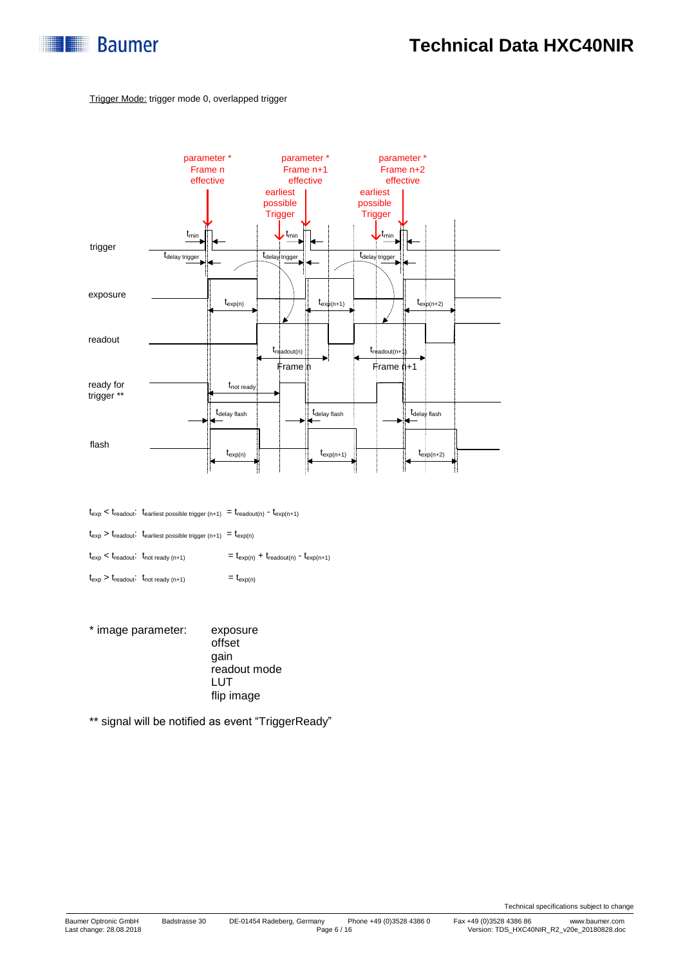

#### Trigger Mode: trigger mode 0, overlapped trigger



 $t_{\rm exp} < t_{\rm readout} \cdot t_{\rm earliest\ possible\ trigger\ (n+1)} \ = t_{\rm readout(n)} \ - t_{\rm exp(n+1)}$ 

 $t_{\text{exp}} > t_{\text{readout}}$ :  $t_{\text{earliest possible trigger (n+1)}} = t_{\text{exp(n)}}$ 

 $t_{\text{exp}} < t_{\text{readout}}$ :  $t_{\text{not ready (n+1)}}$  =  $t_{\text{exp(n)}} + t_{\text{readout(n)}}$  -  $t_{\text{exp(n+1)}}$ 

- $t_{\exp} > t_{\text{readout}}$ :  $t_{\text{not ready (n+1)}}$  =  $t_{\exp(n)}$
- \* image parameter: exposure offset gain readout mode LUT flip image

\*\* signal will be notified as event "TriggerReady"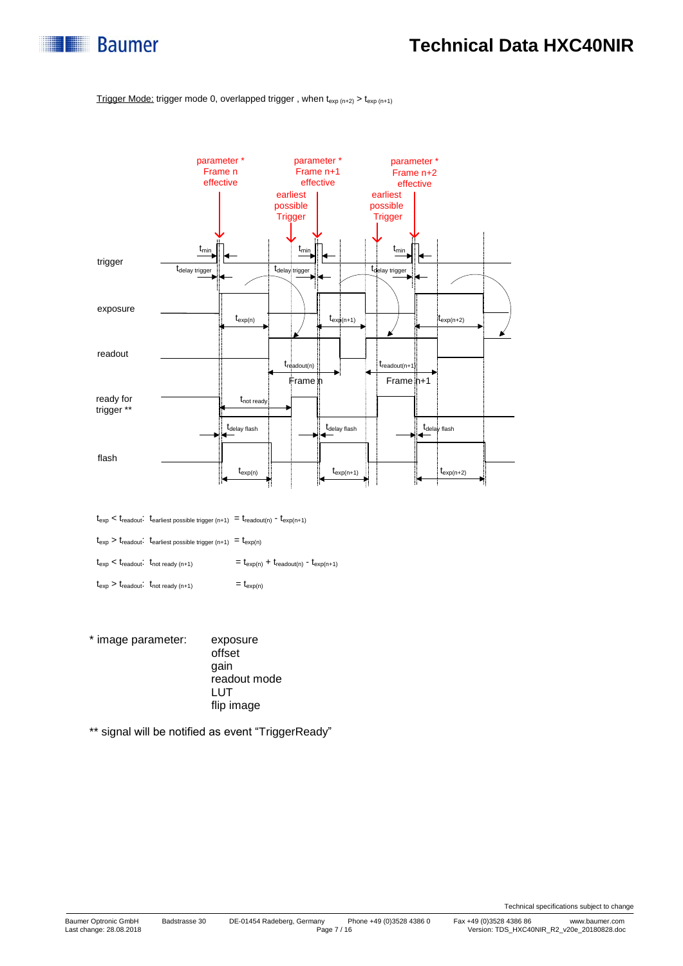

#### Trigger Mode: trigger mode 0, overlapped trigger, when  $t_{exp(n+2)} > t_{exp(n+1)}$



 $t_{\text{exp}} < t_{\text{readout}}$ :  $t_{\text{earliest possible trigger (n+1)}} = t_{\text{readout(n)}} - t_{\text{exp(n+1)}}$ 

 $t_{\text{exp}} > t_{\text{readout}}$ .  $t_{\text{earliest possible trigger (n+1)}} = t_{\text{exp}(n)}$ 

 $t_{\text{exp}} < t_{\text{readout}}$ :  $t_{\text{not ready (n+1)}}$  =  $t_{\text{exp(n)}} + t_{\text{readout(n)}}$  -  $t_{\text{exp(n+1)}}$ 

 $t_{\exp} > t_{\text{readout}}$ :  $t_{\text{not ready (n+1)}}$  =  $t_{\exp(n)}$ 

\* image parameter: exposure offset gain readout mode LUT flip image

\*\* signal will be notified as event "TriggerReady"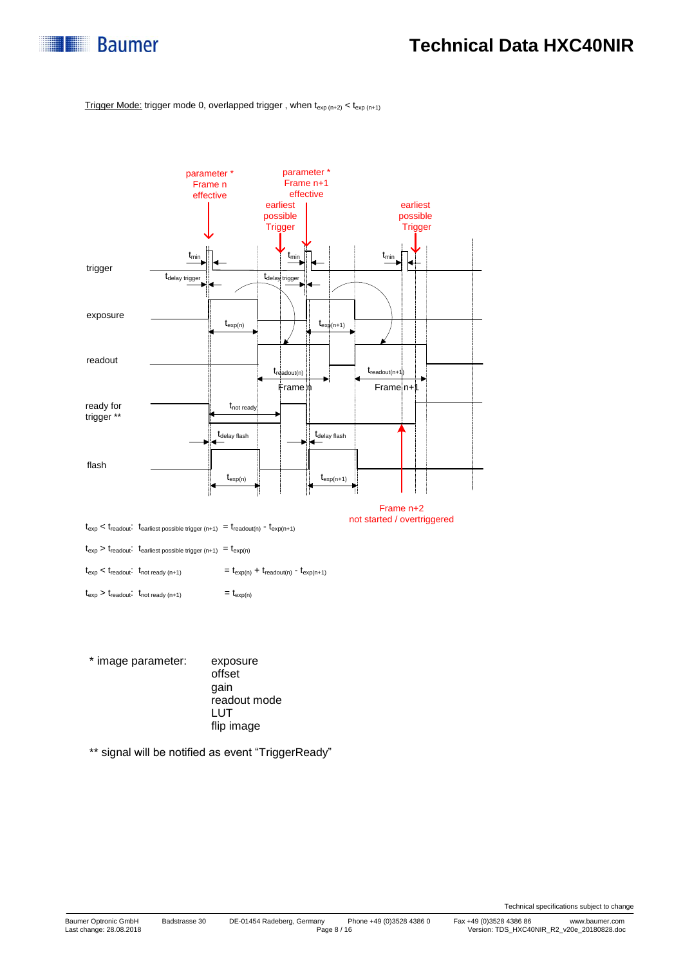

Trigger Mode: trigger mode 0, overlapped trigger, when  $t_{exp(n+2)} < t_{exp(n+1)}$ 



\* image parameter: exposure offset gain readout mode LUT flip image

\*\* signal will be notified as event "TriggerReady"

Technical specifications subject to change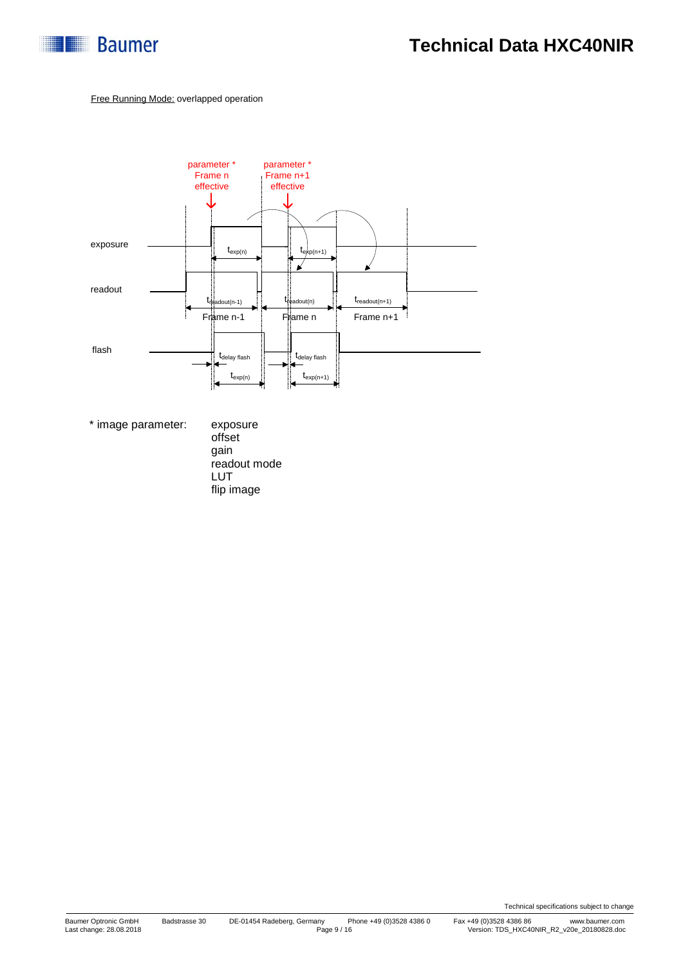

#### Free Running Mode: overlapped operation



\* image parameter: exposure

offset gain readout mode LUT flip image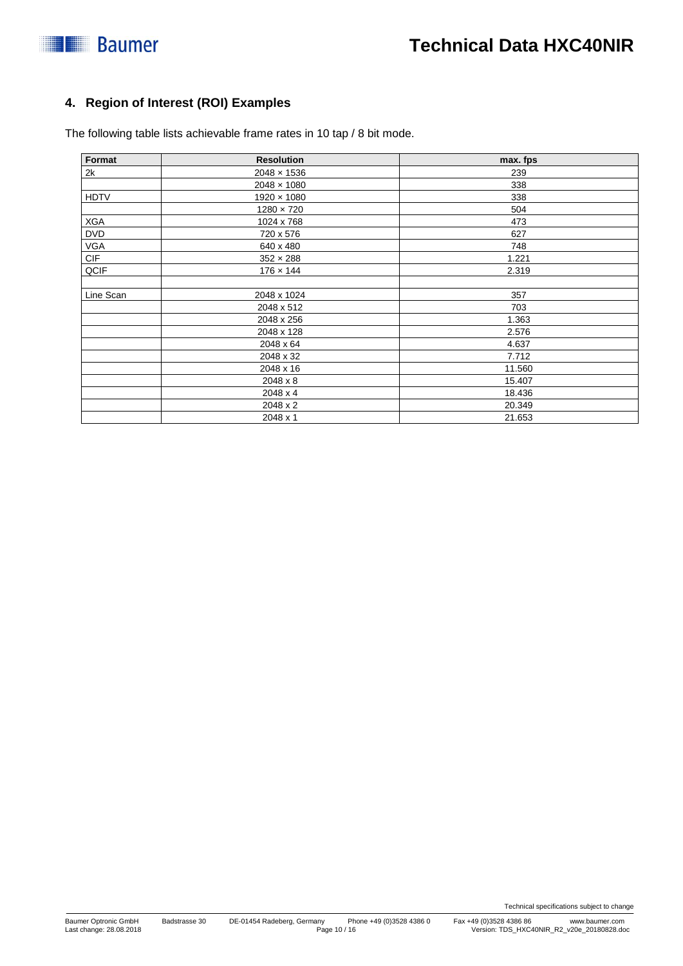

### **4. Region of Interest (ROI) Examples**

The following table lists achievable frame rates in 10 tap / 8 bit mode.

| Format      | <b>Resolution</b>  | max. fps |  |  |
|-------------|--------------------|----------|--|--|
| 2k          | $2048 \times 1536$ | 239      |  |  |
|             | $2048 \times 1080$ | 338      |  |  |
| <b>HDTV</b> | $1920 \times 1080$ | 338      |  |  |
|             | $1280 \times 720$  | 504      |  |  |
| <b>XGA</b>  | 1024 x 768         | 473      |  |  |
| <b>DVD</b>  | 720 x 576          | 627      |  |  |
| <b>VGA</b>  | 640 x 480          | 748      |  |  |
| <b>CIF</b>  | $352 \times 288$   | 1.221    |  |  |
| QCIF        | $176 \times 144$   | 2.319    |  |  |
| Line Scan   | 2048 x 1024        | 357      |  |  |
|             | 2048 x 512         | 703      |  |  |
|             | 2048 x 256         | 1.363    |  |  |
|             | 2048 x 128         | 2.576    |  |  |
|             | 2048 x 64          | 4.637    |  |  |
|             | 2048 x 32          | 7.712    |  |  |
|             | 2048 x 16          | 11.560   |  |  |
|             | 2048 x 8           | 15.407   |  |  |
|             | 2048 x 4           | 18.436   |  |  |
|             | 2048 x 2           | 20.349   |  |  |
|             | 2048 x 1           | 21.653   |  |  |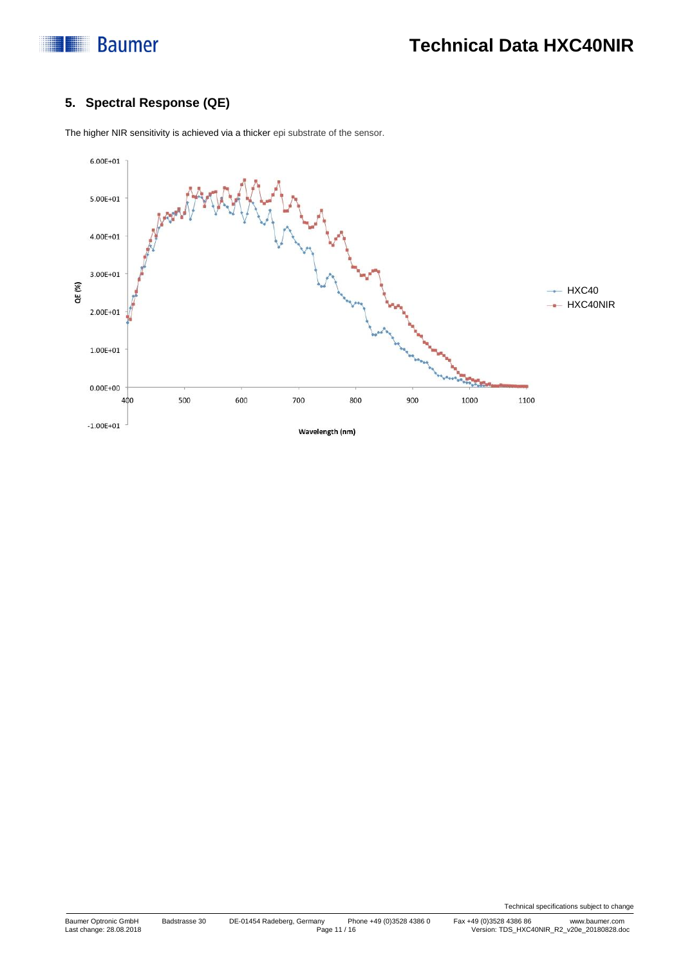

### **5. Spectral Response (QE)**



The higher NIR sensitivity is achieved via a thicker epi substrate of the sensor.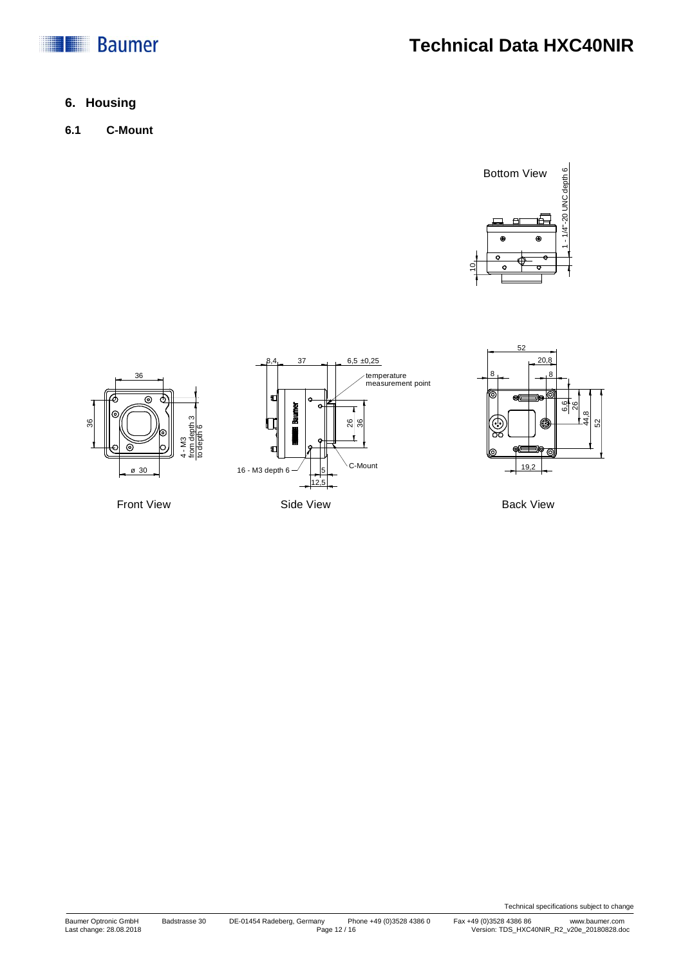

# **Technical Data HXC40NIR**

### **6. Housing**

**6.1 C-Mount**







Back View

Technical specifications subject to change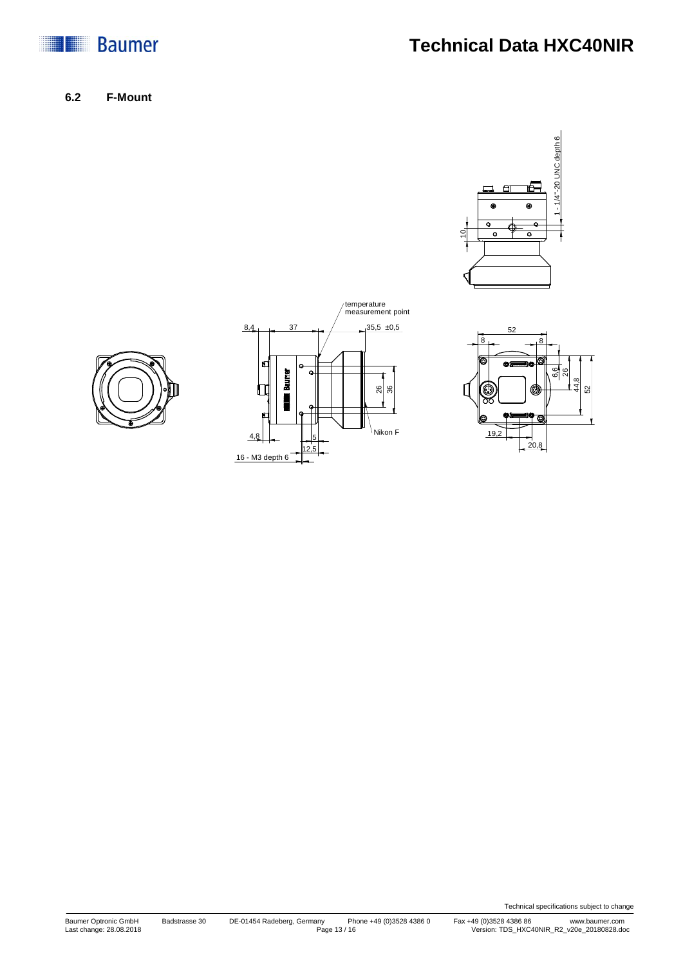

# **Technical Data HXC40NIR**

**6.2 F-Mount**









Technical specifications subject to change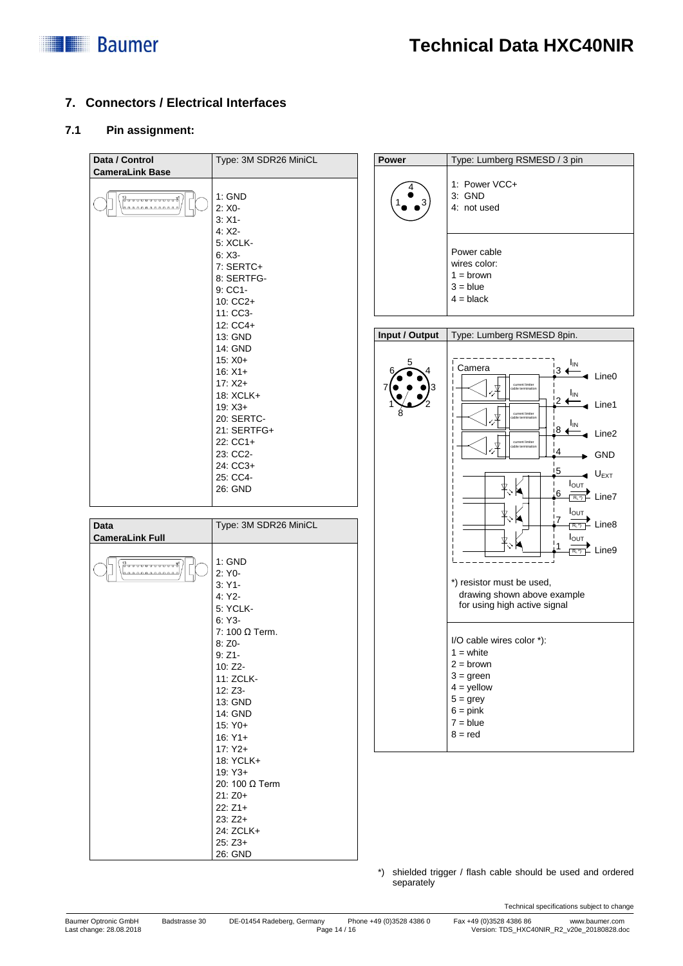

### **7. Connectors / Electrical Interfaces**

#### **7.1 Pin assignment:**

| Data / Control         | Type: 3M SDR26 MiniCL             | Power          | Type: Lumberg RSMESD / 3 pin                               |
|------------------------|-----------------------------------|----------------|------------------------------------------------------------|
| <b>CameraLink Base</b> | 1: GND                            |                | 1: Power VCC+<br>3: GND                                    |
|                        | $2: X0 -$<br>$3: X1 -$<br>$4:X2-$ |                | 4: not used                                                |
|                        | <b>5: XCLK-</b><br>$6: X3-$       |                | Power cable                                                |
|                        | 7: SERTC+                         |                | wires color:<br>$1 = brown$                                |
|                        | 8: SERTFG-<br>$9:CC1-$            |                | $3 = blue$                                                 |
|                        | 10: CC2+                          |                | $4 = black$                                                |
|                        | 11: CC3-<br>12: CC4+              |                |                                                            |
|                        | 13: GND                           | Input / Output | Type: Lumberg RSMESD 8pin.                                 |
|                        | 14: GND<br>$15: X0+$              |                | <sub>IN</sub>                                              |
|                        | $16: X1+$<br>$17: X2+$            |                | Camera<br>∣з —<br>$\triangleleft$ Line0<br>current limiter |
|                        | 18: XCLK+                         |                | ΙıΝ.<br>$12 +$                                             |
|                        | $19: X3+$<br>20: SERTC-           |                | Line1<br>current limite                                    |
|                        | 21: SERTFG+                       |                | $I_{IN}$<br>i8 ∢<br>Line2                                  |
|                        | 22: CC1+<br>23: CC2-              |                | current limiter<br>!4<br><b>GND</b>                        |
|                        | 24: CC3+                          |                | 15<br>$\triangleleft$ U <sub>EXT</sub>                     |
|                        | 25: CC4-<br>26: GND               |                | $I_{\text{OUT}}$                                           |
|                        |                                   |                | $6 \,$<br>$\frac{1}{R_1^2}$ Line7                          |
| <b>Data</b>            | Type: 3M SDR26 MiniCL             |                | Ιουτ<br>7<br>$\overrightarrow{\mathbb{R}^{n}}$ Line8       |
| <b>CameraLink Full</b> |                                   |                | $I_{\text{OUT}}$                                           |
|                        | 1: GND                            |                | $\overline{R_{L}}$ Line9                                   |
|                        | 2: Y0-                            |                | *) resistor must be used,                                  |
|                        | $3:Y1-$<br>4: Y2                  |                | drawing shown above example                                |
|                        | 5: YCLK-<br>$6:Y3-$               |                | for using high active signal                               |
|                        | 7: 100 Ω Term.                    |                |                                                            |
|                        | $8:Z0-$<br>$9:Z1-$                |                | I/O cable wires color *):<br>$1 =$ white                   |
|                        | 10: Z2-                           |                | $2 =$ brown                                                |
|                        | 11: ZCLK-                         |                | $3 = green$<br>$4 =$ yellow                                |
|                        | 12: Z3-<br>13: GND                |                | $5 =$ grey                                                 |
|                        | 14: GND<br>15: Y0+                |                | $6 = pink$<br>$7 = blue$                                   |
|                        | $16: Y1+$                         |                | $8 = red$                                                  |
|                        | $17:Y2+$<br>18: YCLK+             |                |                                                            |
|                        | 19: Y3+                           |                |                                                            |
|                        | 20: 100 Ω Term<br>$21:Z0+$        |                |                                                            |
|                        | $22:Z1+$                          |                |                                                            |
|                        | $23:Z2+$<br>24: ZCLK+             |                |                                                            |
|                        | $25:Z3+$                          |                |                                                            |
|                        | 26: GND                           |                |                                                            |

\*) shielded trigger / flash cable should be used and ordered separately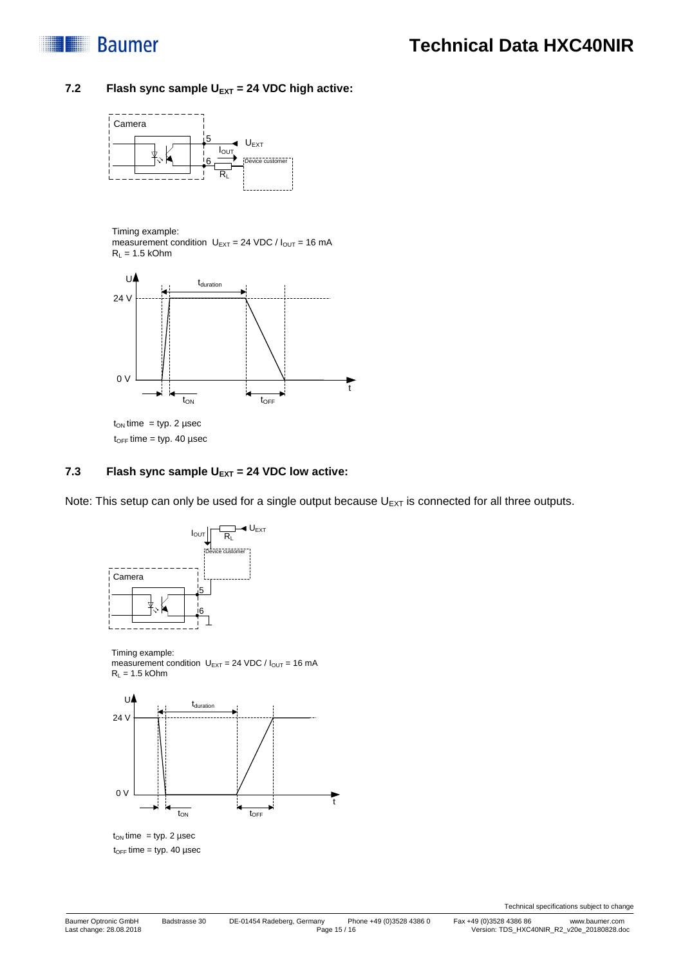

#### 7.2 **Flash sync sample U<sub>EXT</sub> = 24 VDC high active:**



Timing example:

measurement condition  $U_{\text{EXT}} = 24 \text{ VDC} / I_{\text{OUT}} = 16 \text{ mA}$  $R_L = 1.5$  kOhm



 $t_{OFF}$  time = typ. 40 µsec

#### **7.3 Flash sync sample UEXT = 24 VDC low active:**

Note: This setup can only be used for a single output because  $U_{EXT}$  is connected for all three outputs.



Timing example: measurement condition  $U_{EXT} = 24 \text{ VDC} / I_{OUT} = 16 \text{ mA}$  $R_L = 1.5$  kOhm



 $t_{ON}$  time = typ. 2 µsec  $t_{OFF}$  time = typ. 40 µsec